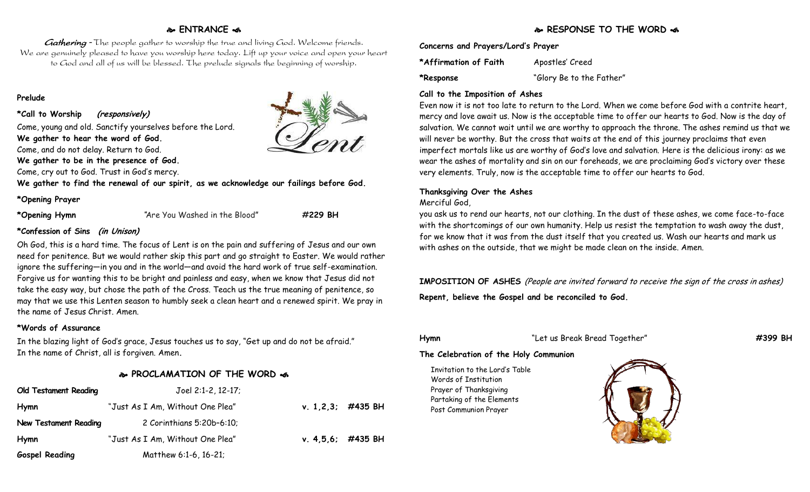### **ENTRANCE**

Gathering - The people gather to worship the true and living God. Welcome friends. We are genuinely pleased to have you worship here today. Lift up your voice and open your heart to God and all of us will be blessed. The prelude signals the beginning of worship.

### **Prelude**

**\*Call to Worship (responsively)**

Come, young and old. Sanctify yourselves before the Lord. **We gather to hear the word of God.**

Come, and do not delay. Return to God.

**We gather to be in the presence of God.**

Come, cry out to God. Trust in God's mercy.

**We gather to find the renewal of our spirit, as we acknowledge our failings before God.**

### **\*Opening Prayer**

**\*Opening Hymn** "Are You Washed in the Blood" **#229 BH**

### **\*Confession of Sins (in Unison)**

Oh God, this is a hard time. The focus of Lent is on the pain and suffering of Jesus and our own need for penitence. But we would rather skip this part and go straight to Easter. We would rather ignore the suffering—in you and in the world—and avoid the hard work of true self-examination. Forgive us for wanting this to be bright and painless and easy, when we know that Jesus did not take the easy way, but chose the path of the Cross. Teach us the true meaning of penitence, so may that we use this Lenten season to humbly seek a clean heart and a renewed spirit. We pray in the name of Jesus Christ. Amen.

### **\*Words of Assurance**

In the blazing light of God's grace, Jesus touches us to say, "Get up and do not be afraid." In the name of Christ, all is forgiven. Amen**.**

### **PROCLAMATION OF THE WORD**

| <b>Old Testament Reading</b> | $Joel 2:1-2, 12-17;$             |                      |  |
|------------------------------|----------------------------------|----------------------|--|
| <b>Hymn</b>                  | "Just As I Am, Without One Plea" | v. $1,2,3$ ; #435 BH |  |
| New Testament Reading        | 2 Corinthians 5:20b-6:10;        |                      |  |
| <b>Hymn</b>                  | "Just As I Am, Without One Plea" | v. $4,5,6$ ; #435 BH |  |
| <b>Gospel Reading</b>        | Matthew 6:1-6, 16-21;            |                      |  |

### **Concerns and Prayers/Lord's Prayer**

**\*Affirmation of Faith** Apostles' Creed **\*Response** "Glory Be to the Father"

### **Call to the Imposition of Ashes**

Even now it is not too late to return to the Lord. When we come before God with a contrite heart, mercy and love await us. Now is the acceptable time to offer our hearts to God. Now is the day of salvation. We cannot wait until we are worthy to approach the throne. The ashes remind us that we will never be worthy. But the cross that waits at the end of this journey proclaims that even imperfect mortals like us are worthy of God's love and salvation. Here is the delicious irony: as we wear the ashes of mortality and sin on our foreheads, we are proclaiming God's victory over these very elements. Truly, now is the acceptable time to offer our hearts to God.

### **Thanksgiving Over the Ashes**

### Merciful God,

you ask us to rend our hearts, not our clothing. In the dust of these ashes, we come face-to-face with the shortcomings of our own humanity. Help us resist the temptation to wash away the dust, for we know that it was from the dust itself that you created us. Wash our hearts and mark us with ashes on the outside, that we might be made clean on the inside. Amen.

### **IMPOSITION OF ASHES** (People are invited forward to receive the sign of the cross in ashes)

**Repent, believe the Gospel and be reconciled to God.**

### **Hymn** "Let us Break Bread Together" **#399 BH**

### **The Celebration of the Holy Communion**

Invitation to the Lord's Table Words of Institution Prayer of Thanksgiving Partaking of the Elements Post Communion Prayer



### **RESPONSE TO THE WORD**  $\approx$